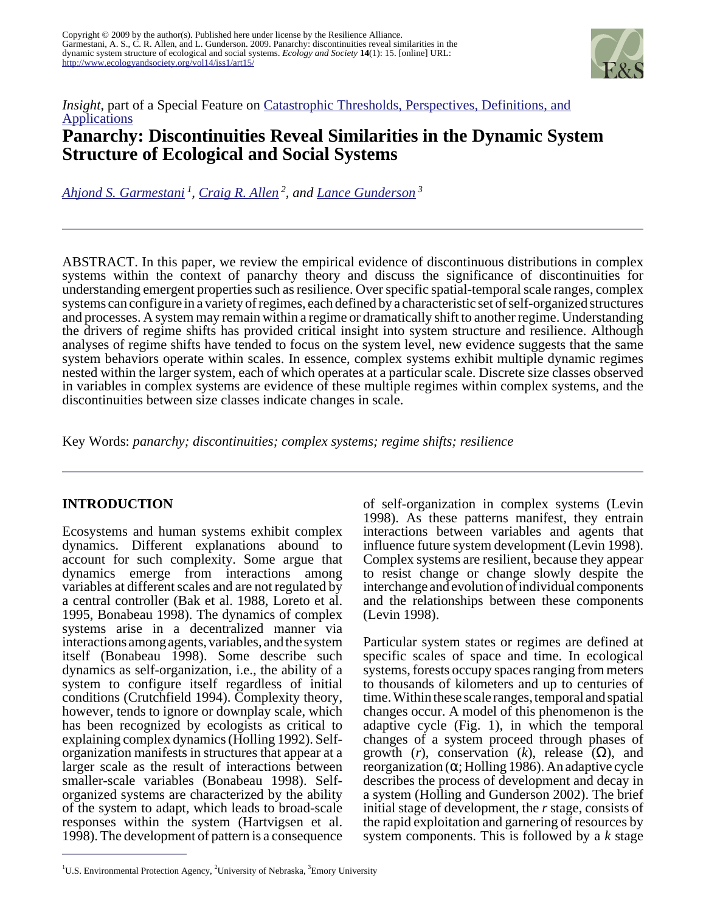

# *Insight*, part of a Special Feature on *Catastrophic Thresholds*, *Perspectives*, *Definitions*, and **[Applications](http://www.ecologyandsociety.org/viewissue.php?sf=30) Panarchy: Discontinuities Reveal Similarities in the Dynamic System Structure of Ecological and Social Systems**

*[Ahjond S. Garmestani](mailto:garmestani.ahjond@epa.gov)<sup>1</sup> , [Craig R. Allen](mailto:allencr@unl.edu)<sup>2</sup>, and [Lance Gunderson](mailto:lgunder@emory.edu)<sup>3</sup>*

ABSTRACT. In this paper, we review the empirical evidence of discontinuous distributions in complex systems within the context of panarchy theory and discuss the significance of discontinuities for understanding emergent properties such as resilience. Over specific spatial-temporal scale ranges, complex systems can configure in a variety of regimes, each defined by a characteristic set of self-organized structures and processes. A system may remain within a regime or dramatically shift to another regime. Understanding the drivers of regime shifts has provided critical insight into system structure and resilience. Although analyses of regime shifts have tended to focus on the system level, new evidence suggests that the same system behaviors operate within scales. In essence, complex systems exhibit multiple dynamic regimes nested within the larger system, each of which operates at a particular scale. Discrete size classes observed in variables in complex systems are evidence of these multiple regimes within complex systems, and the discontinuities between size classes indicate changes in scale.

Key Words: *panarchy; discontinuities; complex systems; regime shifts; resilience*

# **INTRODUCTION**

Ecosystems and human systems exhibit complex dynamics. Different explanations abound to account for such complexity. Some argue that dynamics emerge from interactions among variables at different scales and are not regulated by a central controller (Bak et al. 1988, Loreto et al. 1995, Bonabeau 1998). The dynamics of complex systems arise in a decentralized manner via interactions among agents, variables, and the system itself (Bonabeau 1998). Some describe such dynamics as self-organization, i.e., the ability of a system to configure itself regardless of initial conditions (Crutchfield 1994). Complexity theory, however, tends to ignore or downplay scale, which has been recognized by ecologists as critical to explaining complex dynamics (Holling 1992). Selforganization manifests in structures that appear at a larger scale as the result of interactions between smaller-scale variables (Bonabeau 1998). Selforganized systems are characterized by the ability of the system to adapt, which leads to broad-scale responses within the system (Hartvigsen et al. 1998). The development of pattern is a consequence

of self-organization in complex systems (Levin 1998). As these patterns manifest, they entrain interactions between variables and agents that influence future system development (Levin 1998). Complex systems are resilient, because they appear to resist change or change slowly despite the interchange and evolution of individual components and the relationships between these components (Levin 1998).

Particular system states or regimes are defined at specific scales of space and time. In ecological systems, forests occupy spaces ranging from meters to thousands of kilometers and up to centuries of time. Within these scale ranges, temporal and spatial changes occur. A model of this phenomenon is the adaptive cycle (Fig. 1), in which the temporal changes of a system proceed through phases of growth  $(r)$ , conservation  $(k)$ , release  $(\Omega)$ , and reorganization (α; Holling 1986). An adaptive cycle describes the process of development and decay in a system (Holling and Gunderson 2002). The brief initial stage of development, the *r* stage, consists of the rapid exploitation and garnering of resources by system components. This is followed by a *k* stage

<sup>&</sup>lt;sup>1</sup>U.S. Environmental Protection Agency, <sup>2</sup>University of Nebraska,  ${}^{3}$ Emory University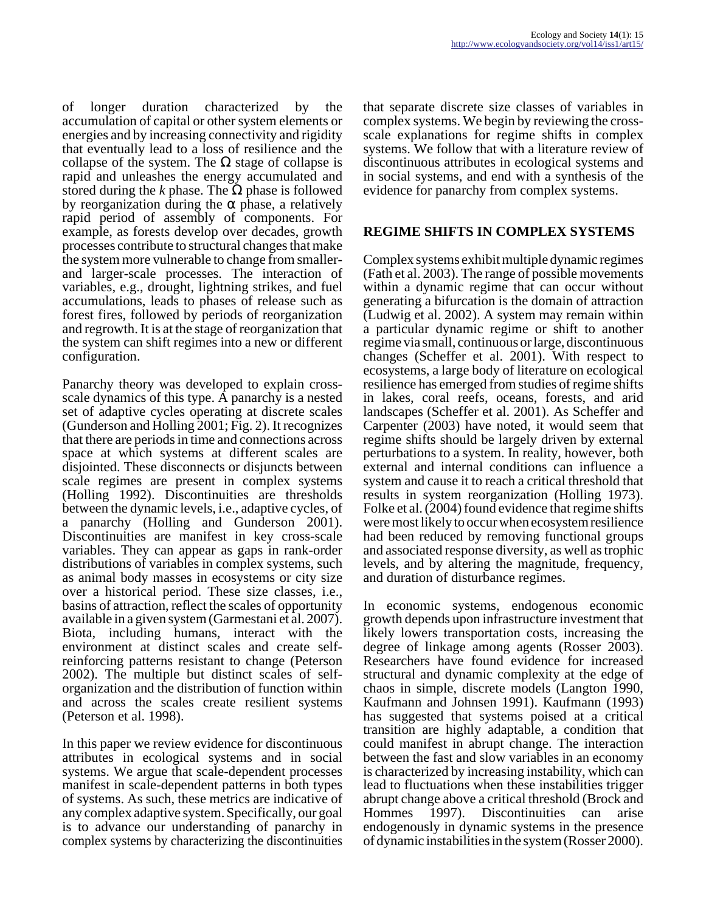of longer duration characterized by the accumulation of capital or other system elements or energies and by increasing connectivity and rigidity that eventually lead to a loss of resilience and the collapse of the system. The  $\Omega$  stage of collapse is rapid and unleashes the energy accumulated and stored during the *k* phase. The  $\Omega$  phase is followed by reorganization during the  $\alpha$  phase, a relatively rapid period of assembly of components. For example, as forests develop over decades, growth processes contribute to structural changes that make the system more vulnerable to change from smallerand larger-scale processes. The interaction of variables, e.g., drought, lightning strikes, and fuel accumulations, leads to phases of release such as forest fires, followed by periods of reorganization and regrowth. It is at the stage of reorganization that the system can shift regimes into a new or different configuration.

Panarchy theory was developed to explain crossscale dynamics of this type. A panarchy is a nested set of adaptive cycles operating at discrete scales (Gunderson and Holling 2001; Fig. 2). It recognizes that there are periods in time and connections across space at which systems at different scales are disjointed. These disconnects or disjuncts between scale regimes are present in complex systems (Holling 1992). Discontinuities are thresholds between the dynamic levels, i.e., adaptive cycles, of a panarchy (Holling and Gunderson 2001). Discontinuities are manifest in key cross-scale variables. They can appear as gaps in rank-order distributions of variables in complex systems, such as animal body masses in ecosystems or city size over a historical period. These size classes, i.e., basins of attraction, reflect the scales of opportunity available in a given system (Garmestani et al. 2007). Biota, including humans, interact with the environment at distinct scales and create selfreinforcing patterns resistant to change (Peterson 2002). The multiple but distinct scales of selforganization and the distribution of function within and across the scales create resilient systems (Peterson et al. 1998).

In this paper we review evidence for discontinuous attributes in ecological systems and in social systems. We argue that scale-dependent processes manifest in scale-dependent patterns in both types of systems. As such, these metrics are indicative of any complex adaptive system. Specifically, our goal is to advance our understanding of panarchy in complex systems by characterizing the discontinuities

that separate discrete size classes of variables in complex systems. We begin by reviewing the crossscale explanations for regime shifts in complex systems. We follow that with a literature review of discontinuous attributes in ecological systems and in social systems, and end with a synthesis of the evidence for panarchy from complex systems.

# **REGIME SHIFTS IN COMPLEX SYSTEMS**

Complex systems exhibit multiple dynamic regimes (Fath et al. 2003). The range of possible movements within a dynamic regime that can occur without generating a bifurcation is the domain of attraction (Ludwig et al. 2002). A system may remain within a particular dynamic regime or shift to another regime via small, continuous or large, discontinuous changes (Scheffer et al. 2001). With respect to ecosystems, a large body of literature on ecological resilience has emerged from studies of regime shifts in lakes, coral reefs, oceans, forests, and arid landscapes (Scheffer et al. 2001). As Scheffer and Carpenter (2003) have noted, it would seem that regime shifts should be largely driven by external perturbations to a system. In reality, however, both external and internal conditions can influence a system and cause it to reach a critical threshold that results in system reorganization (Holling 1973). Folke et al. (2004) found evidence that regime shifts were most likely to occur when ecosystem resilience had been reduced by removing functional groups and associated response diversity, as well as trophic levels, and by altering the magnitude, frequency, and duration of disturbance regimes.

In economic systems, endogenous economic growth depends upon infrastructure investment that likely lowers transportation costs, increasing the degree of linkage among agents (Rosser 2003). Researchers have found evidence for increased structural and dynamic complexity at the edge of chaos in simple, discrete models (Langton 1990, Kaufmann and Johnsen 1991). Kaufmann (1993) has suggested that systems poised at a critical transition are highly adaptable, a condition that could manifest in abrupt change. The interaction between the fast and slow variables in an economy is characterized by increasing instability, which can lead to fluctuations when these instabilities trigger abrupt change above a critical threshold (Brock and Hommes 1997). Discontinuities can arise endogenously in dynamic systems in the presence of dynamic instabilities in the system (Rosser 2000).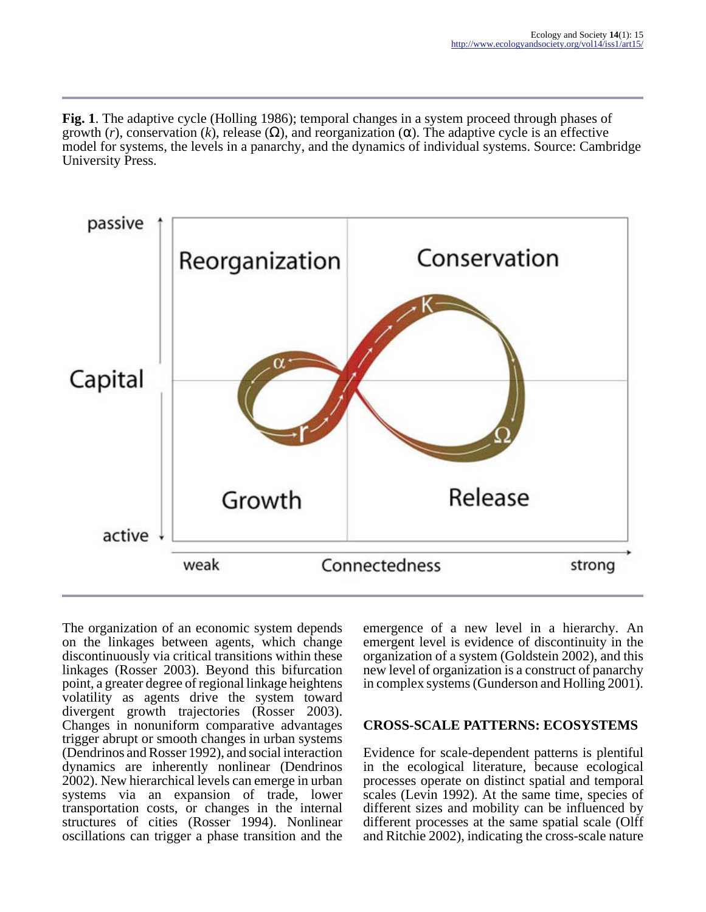**Fig. 1**. The adaptive cycle (Holling 1986); temporal changes in a system proceed through phases of growth (*r*), conservation (*k*), release (Ω), and reorganization (α). The adaptive cycle is an effective model for systems, the levels in a panarchy, and the dynamics of individual systems. Source: Cambridge University Press.



The organization of an economic system depends on the linkages between agents, which change discontinuously via critical transitions within these linkages (Rosser 2003). Beyond this bifurcation point, a greater degree of regional linkage heightens volatility as agents drive the system toward divergent growth trajectories (Rosser 2003). Changes in nonuniform comparative advantages trigger abrupt or smooth changes in urban systems (Dendrinos and Rosser 1992), and social interaction dynamics are inherently nonlinear (Dendrinos 2002). New hierarchical levels can emerge in urban systems via an expansion of trade, lower transportation costs, or changes in the internal structures of cities (Rosser 1994). Nonlinear oscillations can trigger a phase transition and the

emergence of a new level in a hierarchy. An emergent level is evidence of discontinuity in the organization of a system (Goldstein 2002), and this new level of organization is a construct of panarchy in complex systems (Gunderson and Holling 2001).

# **CROSS-SCALE PATTERNS: ECOSYSTEMS**

Evidence for scale-dependent patterns is plentiful in the ecological literature, because ecological processes operate on distinct spatial and temporal scales (Levin 1992). At the same time, species of different sizes and mobility can be influenced by different processes at the same spatial scale (Olff and Ritchie 2002), indicating the cross-scale nature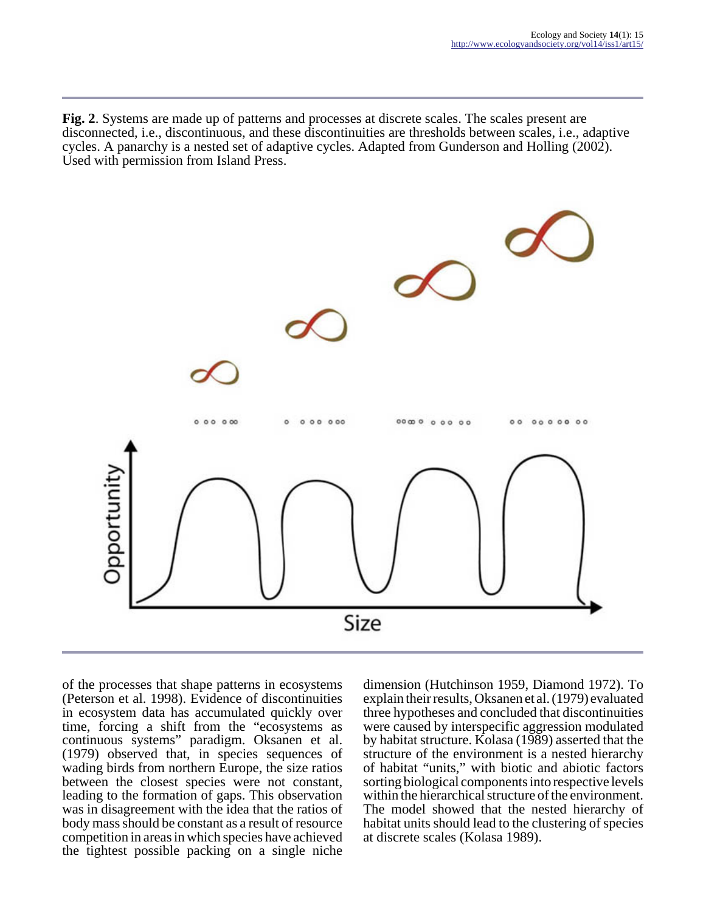**Fig. 2**. Systems are made up of patterns and processes at discrete scales. The scales present are disconnected, i.e., discontinuous, and these discontinuities are thresholds between scales, i.e., adaptive cycles. A panarchy is a nested set of adaptive cycles. Adapted from Gunderson and Holling (2002). Used with permission from Island Press.



of the processes that shape patterns in ecosystems (Peterson et al. 1998). Evidence of discontinuities in ecosystem data has accumulated quickly over time, forcing a shift from the "ecosystems as continuous systems" paradigm. Oksanen et al. (1979) observed that, in species sequences of wading birds from northern Europe, the size ratios between the closest species were not constant, leading to the formation of gaps. This observation was in disagreement with the idea that the ratios of body mass should be constant as a result of resource competition in areas in which species have achieved the tightest possible packing on a single niche

dimension (Hutchinson 1959, Diamond 1972). To explain their results, Oksanen et al. (1979) evaluated three hypotheses and concluded that discontinuities were caused by interspecific aggression modulated by habitat structure. Kolasa (1989) asserted that the structure of the environment is a nested hierarchy of habitat "units," with biotic and abiotic factors sorting biological components into respective levels within the hierarchical structure of the environment. The model showed that the nested hierarchy of habitat units should lead to the clustering of species at discrete scales (Kolasa 1989).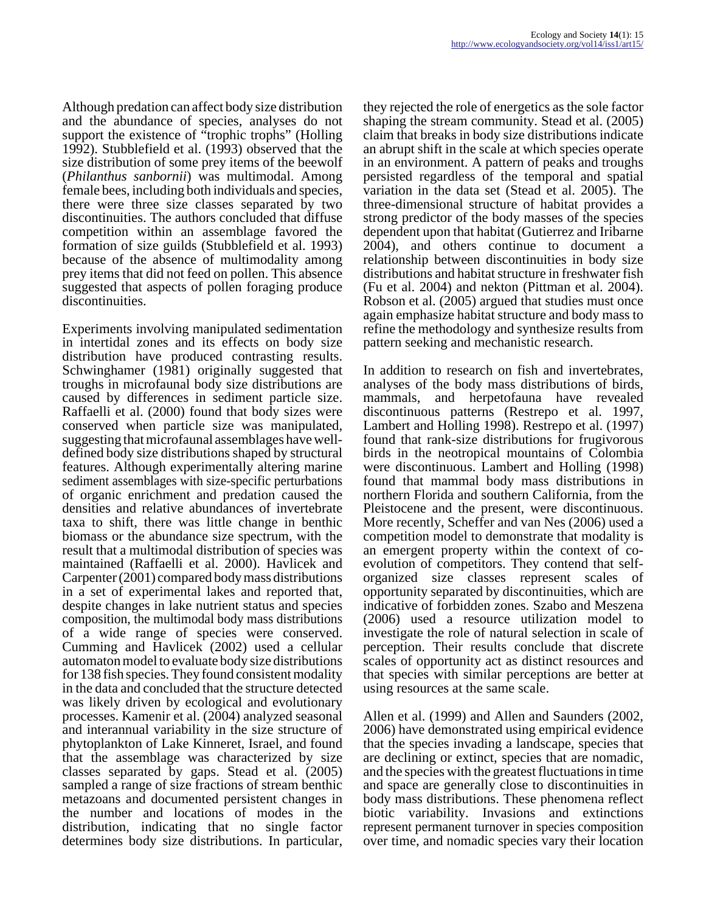Although predation can affect body size distribution and the abundance of species, analyses do not support the existence of "trophic trophs" (Holling 1992). Stubblefield et al. (1993) observed that the size distribution of some prey items of the beewolf (*Philanthus sanbornii*) was multimodal. Among female bees, including both individuals and species, there were three size classes separated by two discontinuities. The authors concluded that diffuse competition within an assemblage favored the formation of size guilds (Stubblefield et al. 1993) because of the absence of multimodality among prey items that did not feed on pollen. This absence suggested that aspects of pollen foraging produce discontinuities.

Experiments involving manipulated sedimentation in intertidal zones and its effects on body size distribution have produced contrasting results. Schwinghamer (1981) originally suggested that troughs in microfaunal body size distributions are caused by differences in sediment particle size. Raffaelli et al. (2000) found that body sizes were conserved when particle size was manipulated, suggesting that microfaunal assemblages have welldefined body size distributions shaped by structural features. Although experimentally altering marine sediment assemblages with size-specific perturbations of organic enrichment and predation caused the densities and relative abundances of invertebrate taxa to shift, there was little change in benthic biomass or the abundance size spectrum, with the result that a multimodal distribution of species was maintained (Raffaelli et al. 2000). Havlicek and Carpenter (2001) compared body mass distributions in a set of experimental lakes and reported that, despite changes in lake nutrient status and species composition, the multimodal body mass distributions of a wide range of species were conserved. Cumming and Havlicek (2002) used a cellular automaton model to evaluate body size distributions for 138 fish species. They found consistent modality in the data and concluded that the structure detected was likely driven by ecological and evolutionary processes. Kamenir et al. (2004) analyzed seasonal and interannual variability in the size structure of phytoplankton of Lake Kinneret, Israel, and found that the assemblage was characterized by size classes separated by gaps. Stead et al. (2005) sampled a range of size fractions of stream benthic metazoans and documented persistent changes in the number and locations of modes in the distribution, indicating that no single factor determines body size distributions. In particular,

they rejected the role of energetics as the sole factor shaping the stream community. Stead et al. (2005) claim that breaks in body size distributions indicate an abrupt shift in the scale at which species operate in an environment. A pattern of peaks and troughs persisted regardless of the temporal and spatial variation in the data set (Stead et al. 2005). The three-dimensional structure of habitat provides a strong predictor of the body masses of the species dependent upon that habitat (Gutierrez and Iribarne 2004), and others continue to document a relationship between discontinuities in body size distributions and habitat structure in freshwater fish (Fu et al. 2004) and nekton (Pittman et al. 2004). Robson et al. (2005) argued that studies must once again emphasize habitat structure and body mass to refine the methodology and synthesize results from pattern seeking and mechanistic research.

In addition to research on fish and invertebrates, analyses of the body mass distributions of birds, mammals, and herpetofauna have revealed discontinuous patterns (Restrepo et al. 1997, Lambert and Holling 1998). Restrepo et al. (1997) found that rank-size distributions for frugivorous birds in the neotropical mountains of Colombia were discontinuous. Lambert and Holling (1998) found that mammal body mass distributions in northern Florida and southern California, from the Pleistocene and the present, were discontinuous. More recently, Scheffer and van Nes (2006) used a competition model to demonstrate that modality is an emergent property within the context of coevolution of competitors. They contend that selforganized size classes represent scales of opportunity separated by discontinuities, which are indicative of forbidden zones. Szabo and Meszena (2006) used a resource utilization model to investigate the role of natural selection in scale of perception. Their results conclude that discrete scales of opportunity act as distinct resources and that species with similar perceptions are better at using resources at the same scale.

Allen et al. (1999) and Allen and Saunders (2002, 2006) have demonstrated using empirical evidence that the species invading a landscape, species that are declining or extinct, species that are nomadic, and the species with the greatest fluctuations in time and space are generally close to discontinuities in body mass distributions. These phenomena reflect biotic variability. Invasions and extinctions represent permanent turnover in species composition over time, and nomadic species vary their location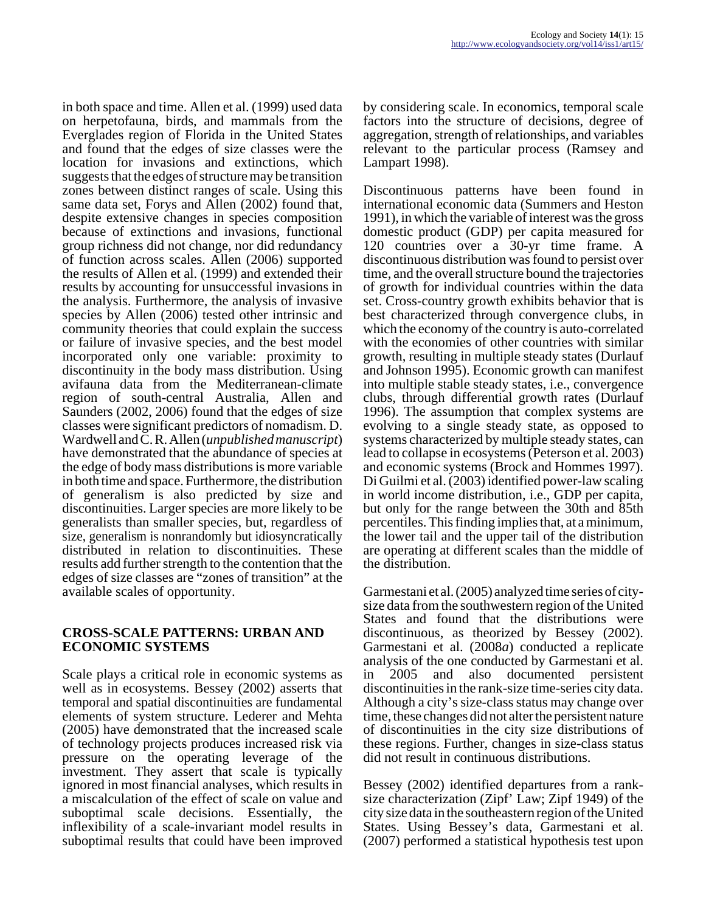in both space and time. Allen et al. (1999) used data on herpetofauna, birds, and mammals from the Everglades region of Florida in the United States and found that the edges of size classes were the location for invasions and extinctions, which suggests that the edges of structure may be transition zones between distinct ranges of scale. Using this same data set, Forys and Allen (2002) found that, despite extensive changes in species composition because of extinctions and invasions, functional group richness did not change, nor did redundancy of function across scales. Allen (2006) supported the results of Allen et al. (1999) and extended their results by accounting for unsuccessful invasions in the analysis. Furthermore, the analysis of invasive species by Allen (2006) tested other intrinsic and community theories that could explain the success or failure of invasive species, and the best model incorporated only one variable: proximity to discontinuity in the body mass distribution. Using avifauna data from the Mediterranean-climate region of south-central Australia, Allen and Saunders (2002, 2006) found that the edges of size classes were significant predictors of nomadism. D. Wardwell and C. R. Allen (*unpublished manuscript*) have demonstrated that the abundance of species at the edge of body mass distributions is more variable in both time and space. Furthermore, the distribution of generalism is also predicted by size and discontinuities. Larger species are more likely to be generalists than smaller species, but, regardless of size, generalism is nonrandomly but idiosyncratically distributed in relation to discontinuities. These results add further strength to the contention that the edges of size classes are "zones of transition" at the available scales of opportunity.

#### **CROSS-SCALE PATTERNS: URBAN AND ECONOMIC SYSTEMS**

Scale plays a critical role in economic systems as well as in ecosystems. Bessey (2002) asserts that temporal and spatial discontinuities are fundamental elements of system structure. Lederer and Mehta (2005) have demonstrated that the increased scale of technology projects produces increased risk via pressure on the operating leverage of the investment. They assert that scale is typically ignored in most financial analyses, which results in a miscalculation of the effect of scale on value and suboptimal scale decisions. Essentially, the inflexibility of a scale-invariant model results in suboptimal results that could have been improved

by considering scale. In economics, temporal scale factors into the structure of decisions, degree of aggregation, strength of relationships, and variables relevant to the particular process (Ramsey and Lampart 1998).

Discontinuous patterns have been found in international economic data (Summers and Heston 1991), in which the variable of interest was the gross domestic product (GDP) per capita measured for 120 countries over a 30-yr time frame. A discontinuous distribution was found to persist over time, and the overall structure bound the trajectories of growth for individual countries within the data set. Cross-country growth exhibits behavior that is best characterized through convergence clubs, in which the economy of the country is auto-correlated with the economies of other countries with similar growth, resulting in multiple steady states (Durlauf and Johnson 1995). Economic growth can manifest into multiple stable steady states, i.e., convergence clubs, through differential growth rates (Durlauf 1996). The assumption that complex systems are evolving to a single steady state, as opposed to systems characterized by multiple steady states, can lead to collapse in ecosystems (Peterson et al. 2003) and economic systems (Brock and Hommes 1997). Di Guilmi et al. (2003) identified power-law scaling in world income distribution, i.e., GDP per capita, but only for the range between the 30th and 85th percentiles. This finding implies that, at a minimum, the lower tail and the upper tail of the distribution are operating at different scales than the middle of the distribution.

Garmestani et al. (2005) analyzed time series of citysize data from the southwestern region of the United States and found that the distributions were discontinuous, as theorized by Bessey (2002). Garmestani et al. (2008*a*) conducted a replicate analysis of the one conducted by Garmestani et al. in 2005 and also documented persistent discontinuities in the rank-size time-series city data. Although a city's size-class status may change over time, these changes did not alter the persistent nature of discontinuities in the city size distributions of these regions. Further, changes in size-class status did not result in continuous distributions.

Bessey (2002) identified departures from a ranksize characterization (Zipf' Law; Zipf 1949) of the city size data in the southeastern region of the United States. Using Bessey's data, Garmestani et al. (2007) performed a statistical hypothesis test upon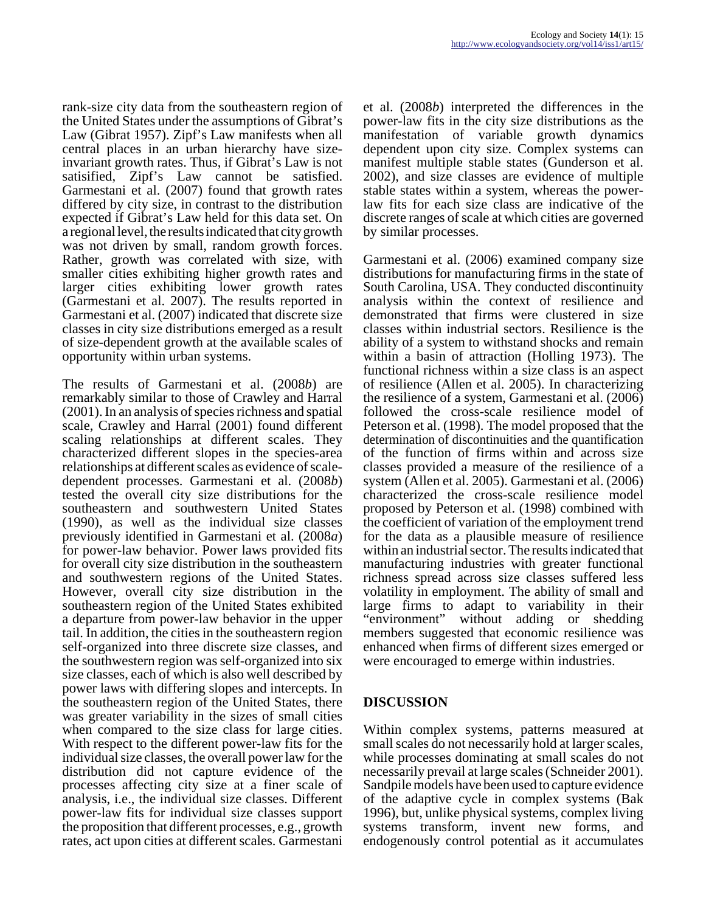rank-size city data from the southeastern region of the United States under the assumptions of Gibrat's Law (Gibrat 1957). Zipf's Law manifests when all central places in an urban hierarchy have sizeinvariant growth rates. Thus, if Gibrat's Law is not satisified, Zipf's Law cannot be satisfied. Garmestani et al. (2007) found that growth rates differed by city size, in contrast to the distribution expected if Gibrat's Law held for this data set. On a regional level, the results indicated that city growth was not driven by small, random growth forces. Rather, growth was correlated with size, with smaller cities exhibiting higher growth rates and larger cities exhibiting lower growth rates (Garmestani et al. 2007). The results reported in Garmestani et al. (2007) indicated that discrete size classes in city size distributions emerged as a result of size-dependent growth at the available scales of opportunity within urban systems.

The results of Garmestani et al. (2008*b*) are remarkably similar to those of Crawley and Harral (2001). In an analysis of species richness and spatial scale, Crawley and Harral (2001) found different scaling relationships at different scales. They characterized different slopes in the species-area relationships at different scales as evidence of scaledependent processes. Garmestani et al. (2008*b*) tested the overall city size distributions for the southeastern and southwestern United States (1990), as well as the individual size classes previously identified in Garmestani et al. (2008*a*) for power-law behavior. Power laws provided fits for overall city size distribution in the southeastern and southwestern regions of the United States. However, overall city size distribution in the southeastern region of the United States exhibited a departure from power-law behavior in the upper tail. In addition, the cities in the southeastern region self-organized into three discrete size classes, and the southwestern region was self-organized into six size classes, each of which is also well described by power laws with differing slopes and intercepts. In the southeastern region of the United States, there was greater variability in the sizes of small cities when compared to the size class for large cities. With respect to the different power-law fits for the individual size classes, the overall power law for the distribution did not capture evidence of the processes affecting city size at a finer scale of analysis, i.e., the individual size classes. Different power-law fits for individual size classes support the proposition that different processes, e.g., growth rates, act upon cities at different scales. Garmestani

et al. (2008*b*) interpreted the differences in the power-law fits in the city size distributions as the manifestation of variable growth dynamics dependent upon city size. Complex systems can manifest multiple stable states (Gunderson et al. 2002), and size classes are evidence of multiple stable states within a system, whereas the powerlaw fits for each size class are indicative of the discrete ranges of scale at which cities are governed by similar processes.

Garmestani et al. (2006) examined company size distributions for manufacturing firms in the state of South Carolina, USA. They conducted discontinuity analysis within the context of resilience and demonstrated that firms were clustered in size classes within industrial sectors. Resilience is the ability of a system to withstand shocks and remain within a basin of attraction (Holling 1973). The functional richness within a size class is an aspect of resilience (Allen et al. 2005). In characterizing the resilience of a system, Garmestani et al. (2006) followed the cross-scale resilience model of Peterson et al. (1998). The model proposed that the determination of discontinuities and the quantification of the function of firms within and across size classes provided a measure of the resilience of a system (Allen et al. 2005). Garmestani et al. (2006) characterized the cross-scale resilience model proposed by Peterson et al. (1998) combined with the coefficient of variation of the employment trend for the data as a plausible measure of resilience within an industrial sector. The results indicated that manufacturing industries with greater functional richness spread across size classes suffered less volatility in employment. The ability of small and large firms to adapt to variability in their "environment" without adding or shedding members suggested that economic resilience was enhanced when firms of different sizes emerged or were encouraged to emerge within industries.

# **DISCUSSION**

Within complex systems, patterns measured at small scales do not necessarily hold at larger scales, while processes dominating at small scales do not necessarily prevail at large scales (Schneider 2001). Sandpile models have been used to capture evidence of the adaptive cycle in complex systems (Bak 1996), but, unlike physical systems, complex living systems transform, invent new forms, and endogenously control potential as it accumulates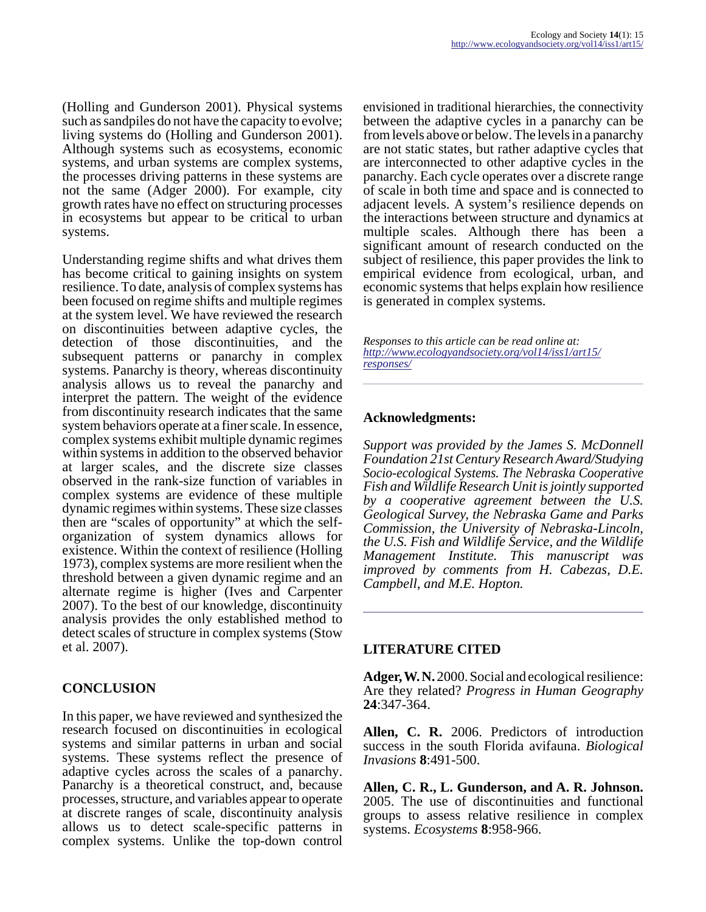(Holling and Gunderson 2001). Physical systems such as sandpiles do not have the capacity to evolve; living systems do (Holling and Gunderson 2001). Although systems such as ecosystems, economic systems, and urban systems are complex systems, the processes driving patterns in these systems are not the same (Adger 2000). For example, city growth rates have no effect on structuring processes in ecosystems but appear to be critical to urban systems.

Understanding regime shifts and what drives them has become critical to gaining insights on system resilience. To date, analysis of complex systems has been focused on regime shifts and multiple regimes at the system level. We have reviewed the research on discontinuities between adaptive cycles, the detection of those discontinuities, and the subsequent patterns or panarchy in complex systems. Panarchy is theory, whereas discontinuity analysis allows us to reveal the panarchy and interpret the pattern. The weight of the evidence from discontinuity research indicates that the same system behaviors operate at a finer scale. In essence, complex systems exhibit multiple dynamic regimes within systems in addition to the observed behavior at larger scales, and the discrete size classes observed in the rank-size function of variables in complex systems are evidence of these multiple dynamic regimes within systems. These size classes then are "scales of opportunity" at which the selforganization of system dynamics allows for existence. Within the context of resilience (Holling 1973), complex systems are more resilient when the threshold between a given dynamic regime and an alternate regime is higher (Ives and Carpenter 2007). To the best of our knowledge, discontinuity analysis provides the only established method to detect scales of structure in complex systems (Stow et al. 2007).

# **CONCLUSION**

In this paper, we have reviewed and synthesized the research focused on discontinuities in ecological systems and similar patterns in urban and social systems. These systems reflect the presence of adaptive cycles across the scales of a panarchy. Panarchy is a theoretical construct, and, because processes, structure, and variables appear to operate at discrete ranges of scale, discontinuity analysis allows us to detect scale-specific patterns in complex systems. Unlike the top-down control

envisioned in traditional hierarchies, the connectivity between the adaptive cycles in a panarchy can be from levels above or below. The levels in a panarchy are not static states, but rather adaptive cycles that are interconnected to other adaptive cycles in the panarchy. Each cycle operates over a discrete range of scale in both time and space and is connected to adjacent levels. A system's resilience depends on the interactions between structure and dynamics at multiple scales. Although there has been a significant amount of research conducted on the subject of resilience, this paper provides the link to empirical evidence from ecological, urban, and economic systems that helps explain how resilience is generated in complex systems.

*Responses to this article can be read online at: [http://www](http://www.ecologyandsociety.org/vol14/iss1/art15/responses/).ecologyandsociety.org/vol14/iss1/art15/ responses/*

#### **Acknowledgments:**

*Support was provided by the James S. McDonnell Foundation 21st Century Research Award/Studying Socio-ecological Systems. The Nebraska Cooperative Fish and Wildlife Research Unit is jointly supported by a cooperative agreement between the U.S. Geological Survey, the Nebraska Game and Parks Commission, the University of Nebraska-Lincoln, the U.S. Fish and Wildlife Service, and the Wildlife Management Institute. This manuscript was improved by comments from H. Cabezas, D.E. Campbell, and M.E. Hopton.* 

# **LITERATURE CITED**

**Adger, W. N.** 2000. Social and ecological resilience: Are they related? *Progress in Human Geography* **24**:347-364.

**Allen, C. R.** 2006. Predictors of introduction success in the south Florida avifauna. *Biological Invasions* **8**:491-500.

**Allen, C. R., L. Gunderson, and A. R. Johnson.** 2005. The use of discontinuities and functional groups to assess relative resilience in complex systems. *Ecosystems* **8**:958-966.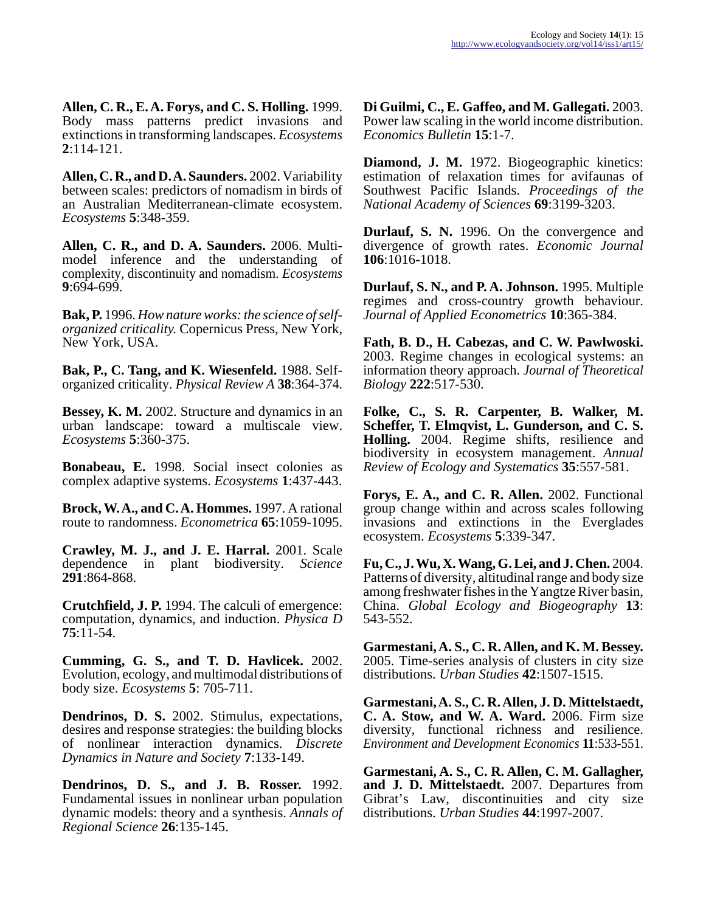**Allen, C. R., E. A. Forys, and C. S. Holling.** 1999. Body mass patterns predict invasions and extinctions in transforming landscapes. *Ecosystems* **2**:114-121.

**Allen, C. R., and D. A. Saunders.** 2002. Variability between scales: predictors of nomadism in birds of an Australian Mediterranean-climate ecosystem. *Ecosystems* **5**:348-359.

**Allen, C. R., and D. A. Saunders.** 2006. Multimodel inference and the understanding of complexity, discontinuity and nomadism. *Ecosystems* **9**:694-699.

**Bak, P.** 1996. *How nature works: the science of selforganized criticality.* Copernicus Press, New York, New York, USA.

**Bak, P., C. Tang, and K. Wiesenfeld.** 1988. Selforganized criticality. *Physical Review A* **38**:364-374.

**Bessey, K. M.** 2002. Structure and dynamics in an urban landscape: toward a multiscale view. *Ecosystems* **5**:360-375.

**Bonabeau, E.** 1998. Social insect colonies as complex adaptive systems. *Ecosystems* **1**:437-443.

**Brock, W. A., and C. A. Hommes.** 1997. A rational route to randomness. *Econometrica* **65**:1059-1095.

**Crawley, M. J., and J. E. Harral.** 2001. Scale dependence in plant biodiversity. *Science* **291**:864-868.

**Crutchfield, J. P.** 1994. The calculi of emergence: computation, dynamics, and induction. *Physica D* **75**:11-54.

**Cumming, G. S., and T. D. Havlicek.** 2002. Evolution, ecology, and multimodal distributions of body size. *Ecosystems* **5**: 705-711.

**Dendrinos, D. S.** 2002. Stimulus, expectations, desires and response strategies: the building blocks of nonlinear interaction dynamics. *Discrete Dynamics in Nature and Society* **7**:133-149.

**Dendrinos, D. S., and J. B. Rosser.** 1992. Fundamental issues in nonlinear urban population dynamic models: theory and a synthesis. *Annals of Regional Science* **26**:135-145.

**Di Guilmi, C., E. Gaffeo, and M. Gallegati.** 2003. Power law scaling in the world income distribution. *Economics Bulletin* **15**:1-7.

**Diamond, J. M.** 1972. Biogeographic kinetics: estimation of relaxation times for avifaunas of Southwest Pacific Islands. *Proceedings of the National Academy of Sciences* **69**:3199-3203.

**Durlauf, S. N.** 1996. On the convergence and divergence of growth rates. *Economic Journal* **106**:1016-1018.

**Durlauf, S. N., and P. A. Johnson.** 1995. Multiple regimes and cross-country growth behaviour. *Journal of Applied Econometrics* **10**:365-384.

**Fath, B. D., H. Cabezas, and C. W. Pawlwoski.** 2003. Regime changes in ecological systems: an information theory approach. *Journal of Theoretical Biology* **222**:517-530.

**Folke, C., S. R. Carpenter, B. Walker, M. Scheffer, T. Elmqvist, L. Gunderson, and C. S. Holling.** 2004. Regime shifts, resilience and biodiversity in ecosystem management. *Annual Review of Ecology and Systematics* **35**:557-581.

**Forys, E. A., and C. R. Allen.** 2002. Functional group change within and across scales following invasions and extinctions in the Everglades ecosystem. *Ecosystems* **5**:339-347.

**Fu, C., J. Wu, X. Wang, G. Lei, and J. Chen.** 2004. Patterns of diversity, altitudinal range and body size among freshwater fishes in the Yangtze River basin, China. *Global Ecology and Biogeography* **13**: 543-552.

**Garmestani, A. S., C. R. Allen, and K. M. Bessey.** 2005. Time-series analysis of clusters in city size distributions. *Urban Studies* **42**:1507-1515.

**Garmestani, A. S., C. R. Allen, J. D. Mittelstaedt, C. A. Stow, and W. A. Ward.** 2006. Firm size diversity, functional richness and resilience. *Environment and Development Economics* **11**:533-551.

**Garmestani, A. S., C. R. Allen, C. M. Gallagher, and J. D. Mittelstaedt.** 2007. Departures from Gibrat's Law, discontinuities and city size distributions. *Urban Studies* **44**:1997-2007.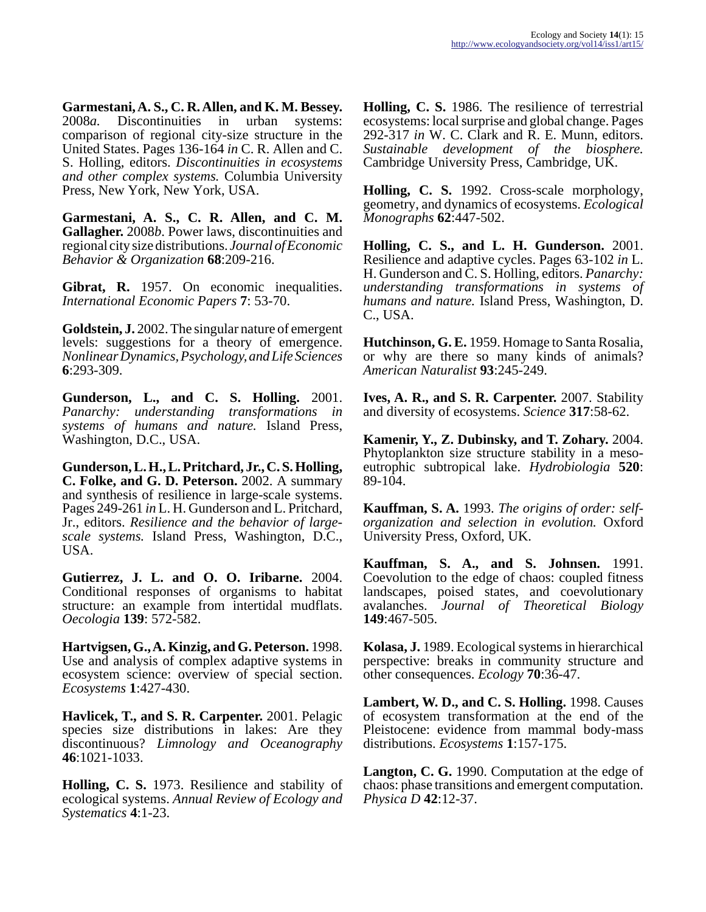**Garmestani, A. S., C. R. Allen, and K. M. Bessey.** 2008*a.* Discontinuities in urban systems: comparison of regional city-size structure in the United States. Pages 136-164 *in* C. R. Allen and C. S. Holling, editors. *Discontinuities in ecosystems and other complex systems.* Columbia University Press, New York, New York, USA.

**Garmestani, A. S., C. R. Allen, and C. M. Gallagher.** 2008*b*. Power laws, discontinuities and regional city size distributions. *Journal of Economic Behavior & Organization* **68**:209-216.

**Gibrat, R.** 1957. On economic inequalities. *International Economic Papers* **7**: 53-70.

**Goldstein, J.** 2002. The singular nature of emergent levels: suggestions for a theory of emergence. *Nonlinear Dynamics, Psychology, and Life Sciences* **6**:293-309.

**Gunderson, L., and C. S. Holling.** 2001. *Panarchy: understanding transformations in systems of humans and nature.* Island Press, Washington, D.C., USA.

**Gunderson, L. H., L. Pritchard, Jr., C. S. Holling, C. Folke, and G. D. Peterson.** 2002. A summary and synthesis of resilience in large-scale systems. Pages 249-261 *in* L. H. Gunderson and L. Pritchard, Jr., editors. *Resilience and the behavior of largescale systems.* Island Press, Washington, D.C., USA.

**Gutierrez, J. L. and O. O. Iribarne.** 2004. Conditional responses of organisms to habitat structure: an example from intertidal mudflats. *Oecologia* **139**: 572-582.

**Hartvigsen, G., A. Kinzig, and G. Peterson.** 1998. Use and analysis of complex adaptive systems in ecosystem science: overview of special section. *Ecosystems* **1**:427-430.

**Havlicek, T., and S. R. Carpenter.** 2001. Pelagic species size distributions in lakes: Are they discontinuous? *Limnology and Oceanography* **46**:1021-1033.

**Holling, C. S.** 1973. Resilience and stability of ecological systems. *Annual Review of Ecology and Systematics* **4**:1-23.

**Holling, C. S.** 1986. The resilience of terrestrial ecosystems: local surprise and global change. Pages 292-317 *in* W. C. Clark and R. E. Munn, editors. *Sustainable development of the biosphere.* Cambridge University Press, Cambridge, UK.

**Holling, C. S.** 1992. Cross-scale morphology, geometry, and dynamics of ecosystems. *Ecological Monographs* **62**:447-502.

**Holling, C. S., and L. H. Gunderson.** 2001. Resilience and adaptive cycles. Pages 63-102 *in* L. H. Gunderson and C. S. Holling, editors. *Panarchy: understanding transformations in systems of humans and nature.* Island Press, Washington, D. C., USA.

**Hutchinson, G. E.** 1959. Homage to Santa Rosalia, or why are there so many kinds of animals? *American Naturalist* **93**:245-249.

**Ives, A. R., and S. R. Carpenter.** 2007. Stability and diversity of ecosystems. *Science* **317**:58-62.

**Kamenir, Y., Z. Dubinsky, and T. Zohary.** 2004. Phytoplankton size structure stability in a mesoeutrophic subtropical lake. *Hydrobiologia* **520**: 89-104.

**Kauffman, S. A.** 1993. *The origins of order: selforganization and selection in evolution.* Oxford University Press, Oxford, UK.

**Kauffman, S. A., and S. Johnsen.** 1991. Coevolution to the edge of chaos: coupled fitness landscapes, poised states, and coevolutionary avalanches. *Journal of Theoretical Biology* **149**:467-505.

**Kolasa, J.** 1989. Ecological systems in hierarchical perspective: breaks in community structure and other consequences. *Ecology* **70**:36-47.

**Lambert, W. D., and C. S. Holling.** 1998. Causes of ecosystem transformation at the end of the Pleistocene: evidence from mammal body-mass distributions. *Ecosystems* **1**:157-175.

**Langton, C. G.** 1990. Computation at the edge of chaos: phase transitions and emergent computation. *Physica D* **42**:12-37.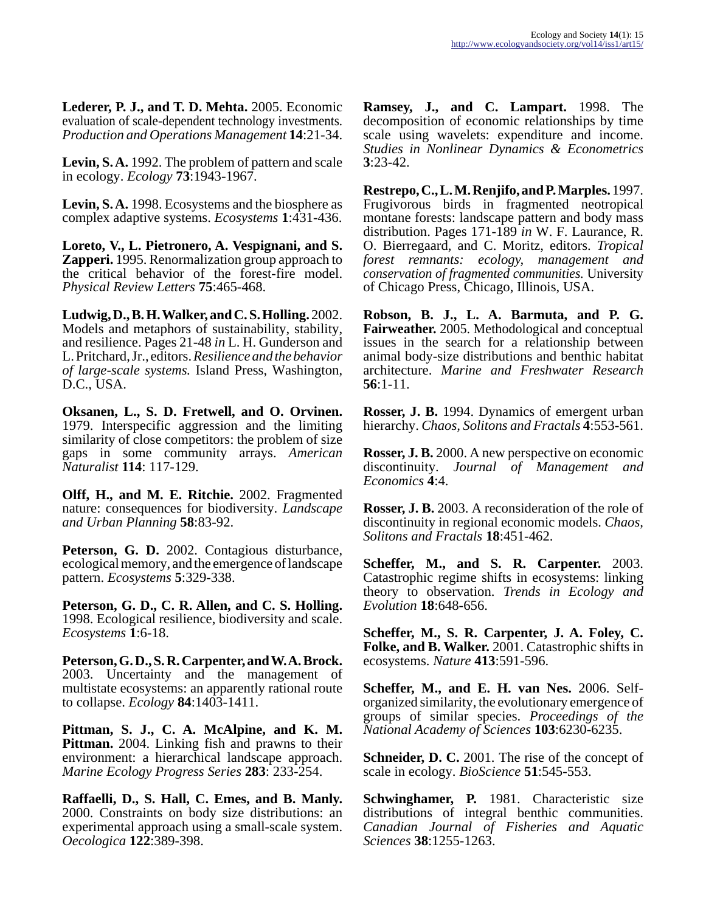**Lederer, P. J., and T. D. Mehta.** 2005. Economic evaluation of scale-dependent technology investments. *Production and Operations Management* **14**:21-34.

**Levin, S. A.** 1992. The problem of pattern and scale in ecology. *Ecology* **73**:1943-1967.

**Levin, S. A.** 1998. Ecosystems and the biosphere as complex adaptive systems. *Ecosystems* **1**:431-436.

**Loreto, V., L. Pietronero, A. Vespignani, and S. Zapperi.** 1995. Renormalization group approach to the critical behavior of the forest-fire model. *Physical Review Letters* **75**:465-468.

**Ludwig, D., B. H. Walker, and C. S. Holling.** 2002. Models and metaphors of sustainability, stability, and resilience. Pages 21-48 *in* L. H. Gunderson and L. Pritchard, Jr., editors. *Resilience and the behavior of large-scale systems.* Island Press, Washington, D.C., USA.

**Oksanen, L., S. D. Fretwell, and O. Orvinen.** 1979. Interspecific aggression and the limiting similarity of close competitors: the problem of size gaps in some community arrays. *American Naturalist* **114**: 117-129.

**Olff, H., and M. E. Ritchie.** 2002. Fragmented nature: consequences for biodiversity. *Landscape and Urban Planning* **58**:83-92.

**Peterson, G. D.** 2002. Contagious disturbance, ecological memory, and the emergence of landscape pattern. *Ecosystems* **5**:329-338.

**Peterson, G. D., C. R. Allen, and C. S. Holling.** 1998. Ecological resilience, biodiversity and scale. *Ecosystems* **1**:6-18.

**Peterson, G. D., S. R. Carpenter, and W. A. Brock.** 2003. Uncertainty and the management of multistate ecosystems: an apparently rational route to collapse. *Ecology* **84**:1403-1411.

**Pittman, S. J., C. A. McAlpine, and K. M. Pittman.** 2004. Linking fish and prawns to their environment: a hierarchical landscape approach. *Marine Ecology Progress Series* **283**: 233-254.

**Raffaelli, D., S. Hall, C. Emes, and B. Manly.** 2000. Constraints on body size distributions: an experimental approach using a small-scale system. *Oecologica* **122**:389-398.

**Ramsey, J., and C. Lampart.** 1998. The decomposition of economic relationships by time scale using wavelets: expenditure and income. *Studies in Nonlinear Dynamics & Econometrics* **3**:23-42.

**Restrepo, C., L. M. Renjifo, and P. Marples.** 1997. Frugivorous birds in fragmented neotropical montane forests: landscape pattern and body mass distribution. Pages 171-189 *in* W. F. Laurance, R. O. Bierregaard, and C. Moritz, editors. *Tropical forest remnants: ecology, management and conservation of fragmented communities.* University of Chicago Press, Chicago, Illinois, USA.

**Robson, B. J., L. A. Barmuta, and P. G. Fairweather.** 2005. Methodological and conceptual issues in the search for a relationship between animal body-size distributions and benthic habitat architecture. *Marine and Freshwater Research* **56**:1-11.

**Rosser, J. B.** 1994. Dynamics of emergent urban hierarchy. *Chaos, Solitons and Fractals* **4**:553-561.

**Rosser, J. B.** 2000. A new perspective on economic discontinuity. *Journal of Management and Economics* **4**:4.

**Rosser, J. B.** 2003. A reconsideration of the role of discontinuity in regional economic models. *Chaos, Solitons and Fractals* **18**:451-462.

**Scheffer, M., and S. R. Carpenter.** 2003. Catastrophic regime shifts in ecosystems: linking theory to observation. *Trends in Ecology and Evolution* **18**:648-656.

**Scheffer, M., S. R. Carpenter, J. A. Foley, C. Folke, and B. Walker.** 2001. Catastrophic shifts in ecosystems. *Nature* **413**:591-596.

**Scheffer, M., and E. H. van Nes.** 2006. Selforganized similarity, the evolutionary emergence of groups of similar species. *Proceedings of the National Academy of Sciences* **103**:6230-6235.

**Schneider, D. C.** 2001. The rise of the concept of scale in ecology. *BioScience* **51**:545-553.

**Schwinghamer, P.** 1981. Characteristic size distributions of integral benthic communities. *Canadian Journal of Fisheries and Aquatic Sciences* **38**:1255-1263.